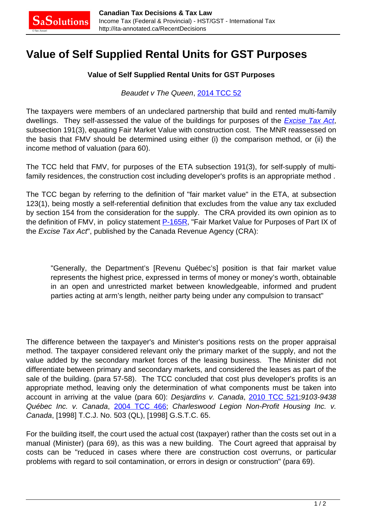## **Value of Self Supplied Rental Units for GST Purposes**

## **Value of Self Supplied Rental Units for GST Purposes**

## Beaudet v The Queen, [2014 TCC 52](http://decision.tcc-cci.gc.ca/tcc-cci/decisions/en/item/66888/index.do)

The taxpayers were members of an undeclared partnership that build and rented multi-family dwellings. They self-assessed the value of the buildings for purposes of the **[Excise Tax Act](http://canlii.ca/t/7vfn)**, subsection 191(3), equating Fair Market Value with construction cost. The MNR reassessed on the basis that FMV should be determined using either (i) the comparison method, or (ii) the income method of valuation (para 60).

The TCC held that FMV, for purposes of the ETA subsection 191(3), for self-supply of multifamily residences, the construction cost including developer's profits is an appropriate method .

The TCC began by referring to the definition of "fair market value" in the ETA, at subsection 123(1), being mostly a self-referential definition that excludes from the value any tax excluded by section 154 from the consideration for the supply. The CRA provided its own opinion as to the definition of FMV, in policy statement [P-165R,](http://www.cra-arc.gc.ca/E/pub/gl/p-165r/README.html) "Fair Market Value for Purposes of Part IX of the Excise Tax Act", published by the Canada Revenue Agency (CRA):

"Generally, the Department's [Revenu Québec's] position is that fair market value represents the highest price, expressed in terms of money or money's worth, obtainable in an open and unrestricted market between knowledgeable, informed and prudent parties acting at arm's length, neither party being under any compulsion to transact"

The difference between the taxpayer's and Minister's positions rests on the proper appraisal method. The taxpayer considered relevant only the primary market of the supply, and not the value added by the secondary market forces of the leasing business. The Minister did not differentiate between primary and secondary markets, and considered the leases as part of the sale of the building. (para 57-58). The TCC concluded that cost plus developer's profits is an appropriate method, leaving only the determination of what components must be taken into account in arriving at the value (para 60): Desjardins v. Canada, [2010 TCC 521](http://canlii.ca/t/2drxv);9103-9438 Québec Inc. v. Canada, [2004 TCC 466](http://canlii.ca/t/1rv46); Charleswood Legion Non-Profit Housing Inc. v. Canada, [1998] T.C.J. No. 503 (QL), [1998] G.S.T.C. 65.

For the building itself, the court used the actual cost (taxpayer) rather than the costs set out in a manual (Minister) (para 69), as this was a new building. The Court agreed that appraisal by costs can be "reduced in cases where there are construction cost overruns, or particular problems with regard to soil contamination, or errors in design or construction" (para 69).